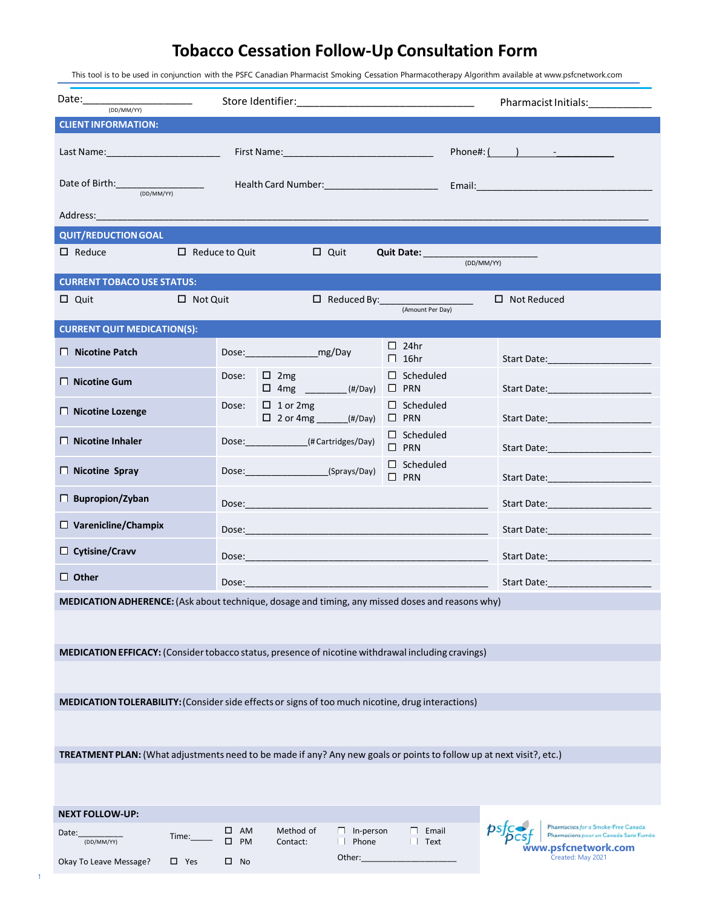## **Tobacco Cessation Follow-Up Consultation Form**

This tool is to be used in conjunction with the PSFC Canadian Pharmacist Smoking Cessation Pharmacotherapy Algorithm available at www.psfcnetwork.com

| Date: ________________________<br>(DD/MM/YY)                                                                                                                                                                                   |                                           |                                                                                                                      | Pharmacist Initials: 1999      |                                                                                                                 |  |  |  |  |  |  |  |
|--------------------------------------------------------------------------------------------------------------------------------------------------------------------------------------------------------------------------------|-------------------------------------------|----------------------------------------------------------------------------------------------------------------------|--------------------------------|-----------------------------------------------------------------------------------------------------------------|--|--|--|--|--|--|--|
| <b>CLIENT INFORMATION:</b>                                                                                                                                                                                                     |                                           |                                                                                                                      |                                |                                                                                                                 |  |  |  |  |  |  |  |
| Last Name:____________________________                                                                                                                                                                                         | $Phone#:$ $\qquad \qquad$ $\qquad \qquad$ |                                                                                                                      |                                |                                                                                                                 |  |  |  |  |  |  |  |
| Date of Birth: (DD/MM/YY)<br>Health Card Number: 1990 Contact Contact Contact Contact Contact Contact Contact Contact Contact Contact Conta                                                                                    |                                           |                                                                                                                      |                                |                                                                                                                 |  |  |  |  |  |  |  |
| Address: Note and the contract of the contract of the contract of the contract of the contract of the contract of the contract of the contract of the contract of the contract of the contract of the contract of the contract |                                           |                                                                                                                      |                                |                                                                                                                 |  |  |  |  |  |  |  |
| <b>QUIT/REDUCTION GOAL</b>                                                                                                                                                                                                     |                                           |                                                                                                                      |                                |                                                                                                                 |  |  |  |  |  |  |  |
| $\Box$ Reduce<br>$\Box$ Reduce to Quit<br>$\Box$ Quit<br>Quit Date: (DD/MM/YY)                                                                                                                                                 |                                           |                                                                                                                      |                                |                                                                                                                 |  |  |  |  |  |  |  |
| <b>CURRENT TOBACO USE STATUS:</b>                                                                                                                                                                                              |                                           |                                                                                                                      |                                |                                                                                                                 |  |  |  |  |  |  |  |
| $\Box$ Not Quit<br>$\Box$ Quit                                                                                                                                                                                                 |                                           |                                                                                                                      | □ Reduced By: (Amount Per Day) | $\Box$ Not Reduced                                                                                              |  |  |  |  |  |  |  |
| <b>CURRENT QUIT MEDICATION(S):</b>                                                                                                                                                                                             |                                           |                                                                                                                      |                                |                                                                                                                 |  |  |  |  |  |  |  |
| $\Box$ Nicotine Patch                                                                                                                                                                                                          |                                           | Dose: mg/Day                                                                                                         | $\Box$ 24hr<br>$\Box$ 16hr     | Start Date:________________________                                                                             |  |  |  |  |  |  |  |
| $\Box$ Nicotine Gum                                                                                                                                                                                                            | Dose:                                     | $\Box$ 2mg<br>$\Box$ 4mg _________(#/Day)                                                                            | $\Box$ Scheduled<br>$\Box$ PRN | Start Date:______________________                                                                               |  |  |  |  |  |  |  |
| □ Nicotine Lozenge                                                                                                                                                                                                             | Dose:                                     | $\Box$ 1 or 2mg<br>$\Box$ 2 or 4mg ______(#/Day)                                                                     | $\Box$ Scheduled<br>$\Box$ PRN |                                                                                                                 |  |  |  |  |  |  |  |
| $\Box$ Nicotine Inhaler                                                                                                                                                                                                        |                                           | Dose: (#Cartridges/Day)                                                                                              | $\Box$ Scheduled<br>$\Box$ PRN |                                                                                                                 |  |  |  |  |  |  |  |
| $\Box$ Nicotine Spray                                                                                                                                                                                                          |                                           | Dose: (Sprays/Day)                                                                                                   | $\Box$ Scheduled<br>$\Box$ PRN |                                                                                                                 |  |  |  |  |  |  |  |
| $\Box$ Bupropion/Zyban                                                                                                                                                                                                         |                                           |                                                                                                                      |                                |                                                                                                                 |  |  |  |  |  |  |  |
| $\Box$ Varenicline/Champix                                                                                                                                                                                                     |                                           |                                                                                                                      |                                |                                                                                                                 |  |  |  |  |  |  |  |
| $\Box$ Cytisine/Cravv                                                                                                                                                                                                          |                                           |                                                                                                                      |                                | Start Date: The Contract of the Contract of the Contract of the Contract of the Contract of the Contract of the |  |  |  |  |  |  |  |
| $\Box$ Other                                                                                                                                                                                                                   | Dose:                                     | <u> 1989 - Johann Barn, mars eta bat erroman erroman erroman erroman erroman erroman erroman erroman erroman err</u> |                                |                                                                                                                 |  |  |  |  |  |  |  |
| MEDICATION ADHERENCE: (Ask about technique, dosage and timing, any missed doses and reasons why)                                                                                                                               |                                           |                                                                                                                      |                                |                                                                                                                 |  |  |  |  |  |  |  |
|                                                                                                                                                                                                                                |                                           |                                                                                                                      |                                |                                                                                                                 |  |  |  |  |  |  |  |
| MEDICATION EFFICACY: (Consider tobacco status, presence of nicotine withdrawal including cravings)                                                                                                                             |                                           |                                                                                                                      |                                |                                                                                                                 |  |  |  |  |  |  |  |
|                                                                                                                                                                                                                                |                                           |                                                                                                                      |                                |                                                                                                                 |  |  |  |  |  |  |  |
| MEDICATION TOLERABILITY: (Consider side effects or signs of too much nicotine, drug interactions)                                                                                                                              |                                           |                                                                                                                      |                                |                                                                                                                 |  |  |  |  |  |  |  |
|                                                                                                                                                                                                                                |                                           |                                                                                                                      |                                |                                                                                                                 |  |  |  |  |  |  |  |
| TREATMENT PLAN: (What adjustments need to be made if any? Any new goals or points to follow up at next visit?, etc.)                                                                                                           |                                           |                                                                                                                      |                                |                                                                                                                 |  |  |  |  |  |  |  |
|                                                                                                                                                                                                                                |                                           |                                                                                                                      |                                |                                                                                                                 |  |  |  |  |  |  |  |
| <b>NEXT FOLLOW-UP:</b>                                                                                                                                                                                                         |                                           |                                                                                                                      |                                |                                                                                                                 |  |  |  |  |  |  |  |
| Date:<br>Time:<br>(DD/MM/YY)                                                                                                                                                                                                   | $\square$ AM<br>$\square$ PM              | Method of<br>$\Box$ In-person<br>$\Box$ Phone<br>Contact:                                                            | Email<br>Text                  | Pharmacists for a Smoke-Free Canada<br>Pharmaciens pour un Canada Sans Fumée                                    |  |  |  |  |  |  |  |
| Okay To Leave Message?<br>$\Box$ Yes                                                                                                                                                                                           | $\Box$ No                                 | Other:                                                                                                               |                                | www.psfcnetwork.com<br>Created: May 2021                                                                        |  |  |  |  |  |  |  |

1